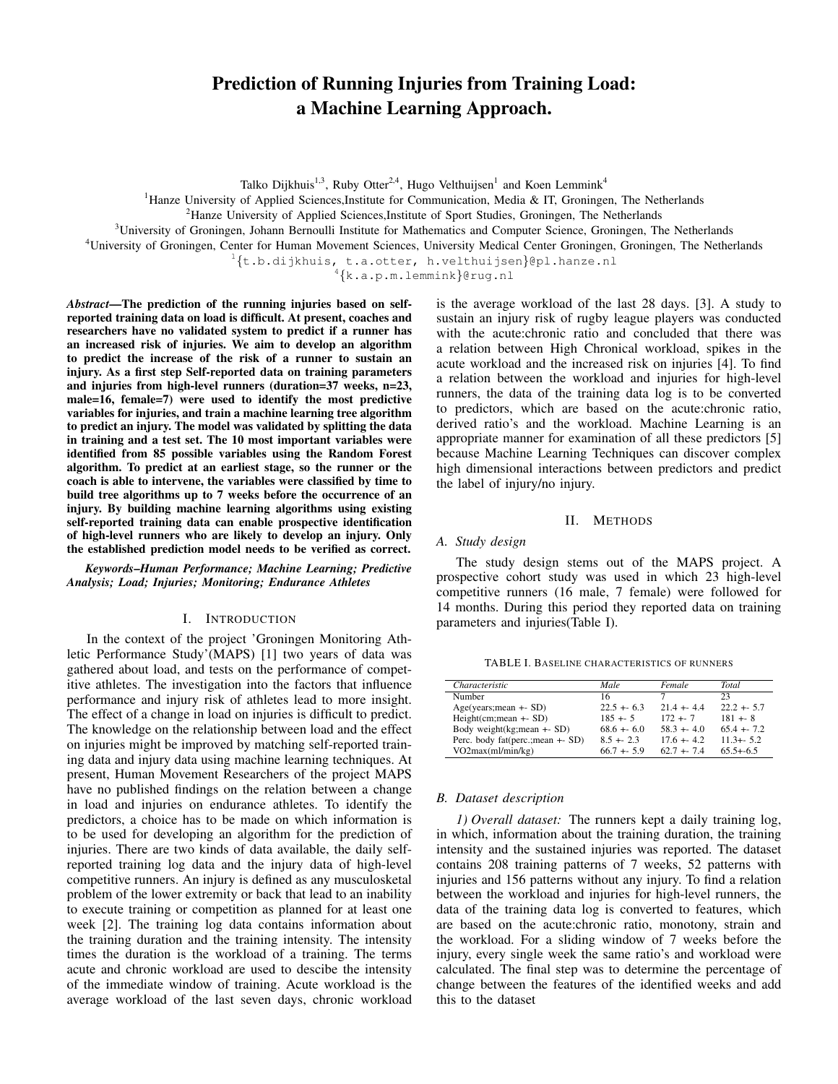# Prediction of Running Injuries from Training Load: a Machine Learning Approach.

Talko Dijkhuis<sup>1,3</sup>, Ruby Otter<sup>2,4</sup>, Hugo Velthuijsen<sup>1</sup> and Koen Lemmink<sup>4</sup>

<sup>1</sup>Hanze University of Applied Sciences, Institute for Communication, Media & IT, Groningen, The Netherlands

<sup>2</sup>Hanze University of Applied Sciences, Institute of Sport Studies, Groningen, The Netherlands

<sup>3</sup>University of Groningen, Johann Bernoulli Institute for Mathematics and Computer Science, Groningen, The Netherlands

<sup>4</sup>University of Groningen, Center for Human Movement Sciences, University Medical Center Groningen, Groningen, The Netherlands

<sup>1</sup>{t.b.dijkhuis, t.a.otter, h.velthuijsen}@pl.hanze.nl<br><sup>4</sup>{k.a.p.m.lemmink}@rug.nl

*Abstract*—The prediction of the running injuries based on selfreported training data on load is difficult. At present, coaches and researchers have no validated system to predict if a runner has an increased risk of injuries. We aim to develop an algorithm to predict the increase of the risk of a runner to sustain an injury. As a first step Self-reported data on training parameters and injuries from high-level runners (duration=37 weeks, n=23, male=16, female=7) were used to identify the most predictive variables for injuries, and train a machine learning tree algorithm to predict an injury. The model was validated by splitting the data in training and a test set. The 10 most important variables were identified from 85 possible variables using the Random Forest algorithm. To predict at an earliest stage, so the runner or the coach is able to intervene, the variables were classified by time to build tree algorithms up to 7 weeks before the occurrence of an injury. By building machine learning algorithms using existing self-reported training data can enable prospective identification of high-level runners who are likely to develop an injury. Only the established prediction model needs to be verified as correct.

*Keywords*–*Human Performance; Machine Learning; Predictive Analysis; Load; Injuries; Monitoring; Endurance Athletes*

#### I. INTRODUCTION

In the context of the project 'Groningen Monitoring Athletic Performance Study'(MAPS) [1] two years of data was gathered about load, and tests on the performance of competitive athletes. The investigation into the factors that influence performance and injury risk of athletes lead to more insight. The effect of a change in load on injuries is difficult to predict. The knowledge on the relationship between load and the effect on injuries might be improved by matching self-reported training data and injury data using machine learning techniques. At present, Human Movement Researchers of the project MAPS have no published findings on the relation between a change in load and injuries on endurance athletes. To identify the predictors, a choice has to be made on which information is to be used for developing an algorithm for the prediction of injuries. There are two kinds of data available, the daily selfreported training log data and the injury data of high-level competitive runners. An injury is defined as any musculosketal problem of the lower extremity or back that lead to an inability to execute training or competition as planned for at least one week [2]. The training log data contains information about the training duration and the training intensity. The intensity times the duration is the workload of a training. The terms acute and chronic workload are used to descibe the intensity of the immediate window of training. Acute workload is the average workload of the last seven days, chronic workload is the average workload of the last 28 days. [3]. A study to sustain an injury risk of rugby league players was conducted with the acute:chronic ratio and concluded that there was a relation between High Chronical workload, spikes in the acute workload and the increased risk on injuries [4]. To find a relation between the workload and injuries for high-level runners, the data of the training data log is to be converted to predictors, which are based on the acute:chronic ratio, derived ratio's and the workload. Machine Learning is an appropriate manner for examination of all these predictors [5] because Machine Learning Techniques can discover complex high dimensional interactions between predictors and predict the label of injury/no injury.

## II. METHODS

## *A. Study design*

The study design stems out of the MAPS project. A prospective cohort study was used in which 23 high-level competitive runners (16 male, 7 female) were followed for 14 months. During this period they reported data on training parameters and injuries(Table I).

TABLE I. BASELINE CHARACTERISTICS OF RUNNERS

| Characteristic                     | Male         | Female       | Total         |
|------------------------------------|--------------|--------------|---------------|
| Number                             | 16           |              | 23            |
| $Age(years; mean + SD)$            | $22.5 + 6.3$ | $214 + 44$   | $22.2 + 5.7$  |
| $Height(cm; mean + SD)$            | $185 + 5$    | $172 + 7$    | $181 + 8$     |
| Body weight( $kg$ ; mean $+$ - SD) | $68.6 + 6.0$ | $58.3 + 4.0$ | $65.4 + 7.2$  |
| Perc. body fat(perc.; mean +- SD)  | $8.5 + 2.3$  | $176 + 42$   | $11.3 + 5.2$  |
| VO2max(ml/min/kg)                  | $66.7 + 5.9$ | $62.7 + 74$  | $65.5 + -6.5$ |

## *B. Dataset description*

*1) Overall dataset:* The runners kept a daily training log, in which, information about the training duration, the training intensity and the sustained injuries was reported. The dataset contains 208 training patterns of 7 weeks, 52 patterns with injuries and 156 patterns without any injury. To find a relation between the workload and injuries for high-level runners, the data of the training data log is converted to features, which are based on the acute:chronic ratio, monotony, strain and the workload. For a sliding window of 7 weeks before the injury, every single week the same ratio's and workload were calculated. The final step was to determine the percentage of change between the features of the identified weeks and add this to the dataset